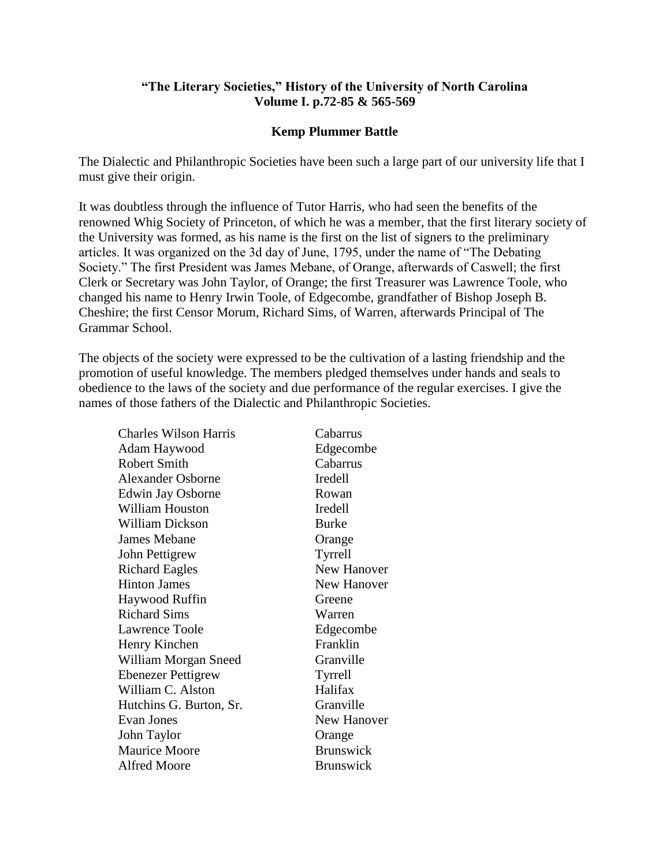## **"The Literary Societies," History of the University of North Carolina Volume I. p.72-85 & 565-569**

## **Kemp Plummer Battle**

The Dialectic and Philanthropic Societies have been such a large part of our university life that I must give their origin.

It was doubtless through the influence of Tutor Harris, who had seen the benefits of the renowned Whig Society of Princeton, of which he was a member, that the first literary society of the University was formed, as his name is the first on the list of signers to the preliminary articles. It was organized on the 3d day of June, 1795, under the name of "The Debating Society." The first President was James Mebane, of Orange, afterwards of Caswell; the first Clerk or Secretary was John Taylor, of Orange; the first Treasurer was Lawrence Toole, who changed his name to Henry Irwin Toole, of Edgecombe, grandfather of Bishop Joseph B. Cheshire; the first Censor Morum, Richard Sims, of Warren, afterwards Principal of The Grammar School.

The objects of the society were expressed to be the cultivation of a lasting friendship and the promotion of useful knowledge. The members pledged themselves under hands and seals to obedience to the laws of the society and due performance of the regular exercises. I give the names of those fathers of the Dialectic and Philanthropic Societies.

| <b>Charles Wilson Harris</b> | Cabarrus           |
|------------------------------|--------------------|
| Adam Haywood                 | Edgecombe          |
| <b>Robert Smith</b>          | Cabarrus           |
| <b>Alexander Osborne</b>     | Iredell            |
| Edwin Jay Osborne            | Rowan              |
| <b>William Houston</b>       | Iredell            |
| <b>William Dickson</b>       | <b>Burke</b>       |
| <b>James Mebane</b>          | Orange             |
| John Pettigrew               | Tyrrell            |
| <b>Richard Eagles</b>        | <b>New Hanover</b> |
| <b>Hinton James</b>          | <b>New Hanover</b> |
| Haywood Ruffin               | Greene             |
| <b>Richard Sims</b>          | Warren             |
| Lawrence Toole               | Edgecombe          |
| Henry Kinchen                | Franklin           |
| William Morgan Sneed         | Granville          |
| <b>Ebenezer Pettigrew</b>    | Tyrrell            |
| William C. Alston            | Halifax            |
| Hutchins G. Burton, Sr.      | Granville          |
| Evan Jones                   | New Hanover        |
| John Taylor                  | Orange             |
| <b>Maurice Moore</b>         | <b>Brunswick</b>   |
| <b>Alfred Moore</b>          | <b>Brunswick</b>   |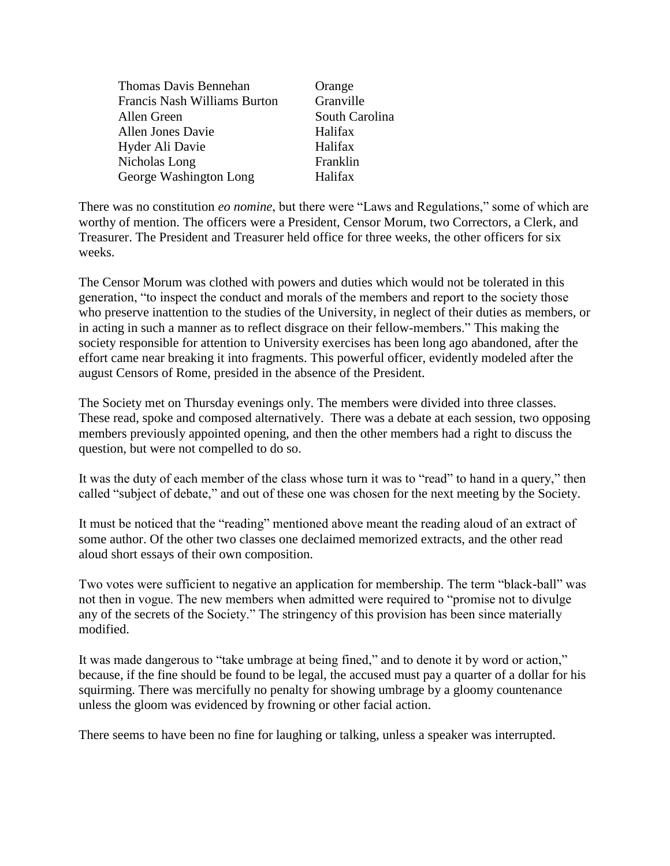| Orange         |
|----------------|
| Granville      |
| South Carolina |
| Halifax        |
| Halifax        |
| Franklin       |
| Halifax        |
|                |

There was no constitution *eo nomine*, but there were "Laws and Regulations," some of which are worthy of mention. The officers were a President, Censor Morum, two Correctors, a Clerk, and Treasurer. The President and Treasurer held office for three weeks, the other officers for six weeks.

The Censor Morum was clothed with powers and duties which would not be tolerated in this generation, "to inspect the conduct and morals of the members and report to the society those who preserve inattention to the studies of the University, in neglect of their duties as members, or in acting in such a manner as to reflect disgrace on their fellow-members." This making the society responsible for attention to University exercises has been long ago abandoned, after the effort came near breaking it into fragments. This powerful officer, evidently modeled after the august Censors of Rome, presided in the absence of the President.

The Society met on Thursday evenings only. The members were divided into three classes. These read, spoke and composed alternatively. There was a debate at each session, two opposing members previously appointed opening, and then the other members had a right to discuss the question, but were not compelled to do so.

It was the duty of each member of the class whose turn it was to "read" to hand in a query," then called "subject of debate," and out of these one was chosen for the next meeting by the Society.

It must be noticed that the "reading" mentioned above meant the reading aloud of an extract of some author. Of the other two classes one declaimed memorized extracts, and the other read aloud short essays of their own composition.

Two votes were sufficient to negative an application for membership. The term "black-ball" was not then in vogue. The new members when admitted were required to "promise not to divulge any of the secrets of the Society." The stringency of this provision has been since materially modified.

It was made dangerous to "take umbrage at being fined," and to denote it by word or action," because, if the fine should be found to be legal, the accused must pay a quarter of a dollar for his squirming. There was mercifully no penalty for showing umbrage by a gloomy countenance unless the gloom was evidenced by frowning or other facial action.

There seems to have been no fine for laughing or talking, unless a speaker was interrupted.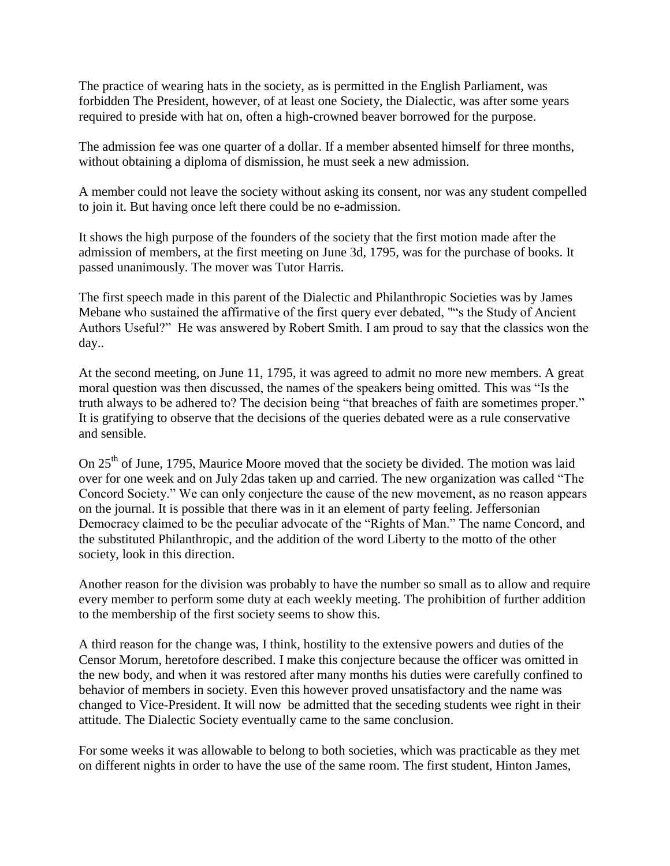The practice of wearing hats in the society, as is permitted in the English Parliament, was forbidden The President, however, of at least one Society, the Dialectic, was after some years required to preside with hat on, often a high-crowned beaver borrowed for the purpose.

The admission fee was one quarter of a dollar. If a member absented himself for three months, without obtaining a diploma of dismission, he must seek a new admission.

A member could not leave the society without asking its consent, nor was any student compelled to join it. But having once left there could be no e-admission.

It shows the high purpose of the founders of the society that the first motion made after the admission of members, at the first meeting on June 3d, 1795, was for the purchase of books. It passed unanimously. The mover was Tutor Harris.

The first speech made in this parent of the Dialectic and Philanthropic Societies was by James Mebane who sustained the affirmative of the first query ever debated, ""s the Study of Ancient Authors Useful?" He was answered by Robert Smith. I am proud to say that the classics won the day..

At the second meeting, on June 11, 1795, it was agreed to admit no more new members. A great moral question was then discussed, the names of the speakers being omitted. This was "Is the truth always to be adhered to? The decision being "that breaches of faith are sometimes proper." It is gratifying to observe that the decisions of the queries debated were as a rule conservative and sensible.

On 25<sup>th</sup> of June, 1795, Maurice Moore moved that the society be divided. The motion was laid over for one week and on July 2das taken up and carried. The new organization was called "The Concord Society." We can only conjecture the cause of the new movement, as no reason appears on the journal. It is possible that there was in it an element of party feeling. Jeffersonian Democracy claimed to be the peculiar advocate of the "Rights of Man." The name Concord, and the substituted Philanthropic, and the addition of the word Liberty to the motto of the other society, look in this direction.

Another reason for the division was probably to have the number so small as to allow and require every member to perform some duty at each weekly meeting. The prohibition of further addition to the membership of the first society seems to show this.

A third reason for the change was, I think, hostility to the extensive powers and duties of the Censor Morum, heretofore described. I make this conjecture because the officer was omitted in the new body, and when it was restored after many months his duties were carefully confined to behavior of members in society. Even this however proved unsatisfactory and the name was changed to Vice-President. It will now be admitted that the seceding students wee right in their attitude. The Dialectic Society eventually came to the same conclusion.

For some weeks it was allowable to belong to both societies, which was practicable as they met on different nights in order to have the use of the same room. The first student, Hinton James,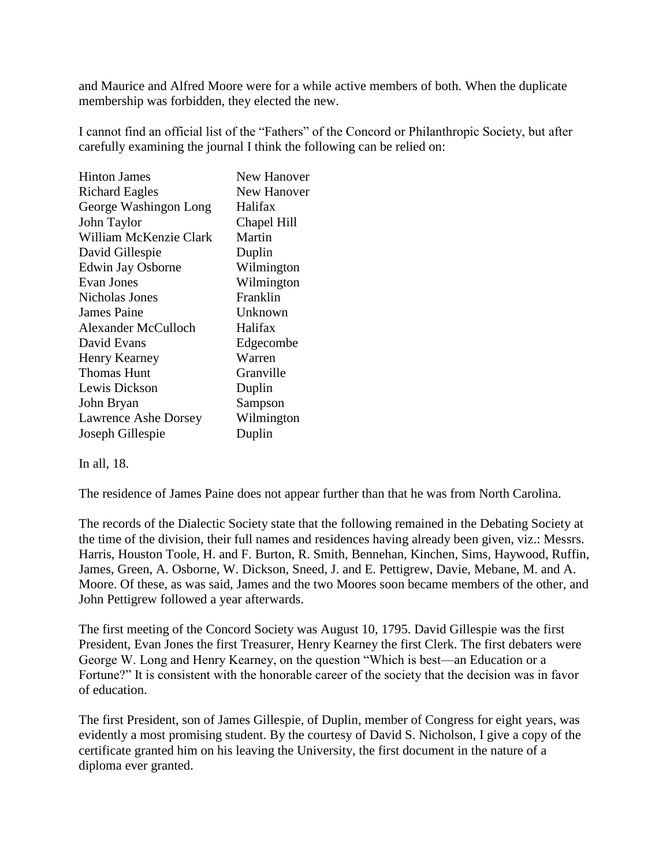and Maurice and Alfred Moore were for a while active members of both. When the duplicate membership was forbidden, they elected the new.

I cannot find an official list of the "Fathers" of the Concord or Philanthropic Society, but after carefully examining the journal I think the following can be relied on:

| <b>Hinton James</b>    | New Hanover        |
|------------------------|--------------------|
| <b>Richard Eagles</b>  | <b>New Hanover</b> |
| George Washingon Long  | Halifax            |
| John Taylor            | Chapel Hill        |
| William McKenzie Clark | Martin             |
| David Gillespie        | Duplin             |
| Edwin Jay Osborne      | Wilmington         |
| Evan Jones             | Wilmington         |
| Nicholas Jones         | Franklin           |
| James Paine            | Unknown            |
| Alexander McCulloch    | Halifax            |
| David Evans            | Edgecombe          |
| <b>Henry Kearney</b>   | Warren             |
| <b>Thomas Hunt</b>     | Granville          |
| Lewis Dickson          | Duplin             |
| John Bryan             | Sampson            |
| Lawrence Ashe Dorsey   | Wilmington         |
| Joseph Gillespie       | Duplin             |

## In all, 18.

The residence of James Paine does not appear further than that he was from North Carolina.

The records of the Dialectic Society state that the following remained in the Debating Society at the time of the division, their full names and residences having already been given, viz.: Messrs. Harris, Houston Toole, H. and F. Burton, R. Smith, Bennehan, Kinchen, Sims, Haywood, Ruffin, James, Green, A. Osborne, W. Dickson, Sneed, J. and E. Pettigrew, Davie, Mebane, M. and A. Moore. Of these, as was said, James and the two Moores soon became members of the other, and John Pettigrew followed a year afterwards.

The first meeting of the Concord Society was August 10, 1795. David Gillespie was the first President, Evan Jones the first Treasurer, Henry Kearney the first Clerk. The first debaters were George W. Long and Henry Kearney, on the question "Which is best—an Education or a Fortune?" It is consistent with the honorable career of the society that the decision was in favor of education.

The first President, son of James Gillespie, of Duplin, member of Congress for eight years, was evidently a most promising student. By the courtesy of David S. Nicholson, I give a copy of the certificate granted him on his leaving the University, the first document in the nature of a diploma ever granted.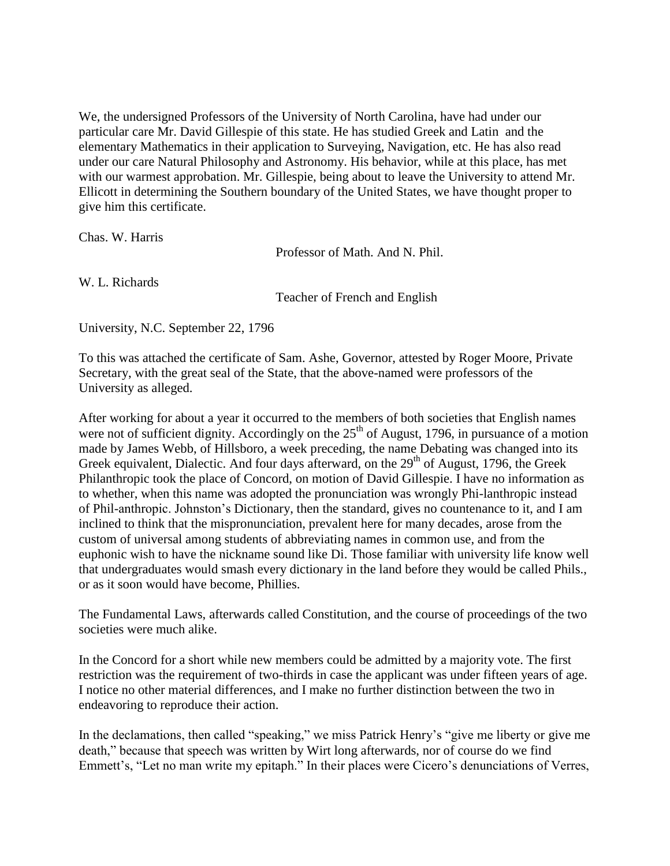We, the undersigned Professors of the University of North Carolina, have had under our particular care Mr. David Gillespie of this state. He has studied Greek and Latin and the elementary Mathematics in their application to Surveying, Navigation, etc. He has also read under our care Natural Philosophy and Astronomy. His behavior, while at this place, has met with our warmest approbation. Mr. Gillespie, being about to leave the University to attend Mr. Ellicott in determining the Southern boundary of the United States, we have thought proper to give him this certificate.

Chas. W. Harris

Professor of Math. And N. Phil.

W. L. Richards

Teacher of French and English

University, N.C. September 22, 1796

To this was attached the certificate of Sam. Ashe, Governor, attested by Roger Moore, Private Secretary, with the great seal of the State, that the above-named were professors of the University as alleged.

After working for about a year it occurred to the members of both societies that English names were not of sufficient dignity. Accordingly on the  $25<sup>th</sup>$  of August, 1796, in pursuance of a motion made by James Webb, of Hillsboro, a week preceding, the name Debating was changed into its Greek equivalent, Dialectic. And four days afterward, on the  $29<sup>th</sup>$  of August, 1796, the Greek Philanthropic took the place of Concord, on motion of David Gillespie. I have no information as to whether, when this name was adopted the pronunciation was wrongly Phi-lanthropic instead of Phil-anthropic. Johnston's Dictionary, then the standard, gives no countenance to it, and I am inclined to think that the mispronunciation, prevalent here for many decades, arose from the custom of universal among students of abbreviating names in common use, and from the euphonic wish to have the nickname sound like Di. Those familiar with university life know well that undergraduates would smash every dictionary in the land before they would be called Phils., or as it soon would have become, Phillies.

The Fundamental Laws, afterwards called Constitution, and the course of proceedings of the two societies were much alike.

In the Concord for a short while new members could be admitted by a majority vote. The first restriction was the requirement of two-thirds in case the applicant was under fifteen years of age. I notice no other material differences, and I make no further distinction between the two in endeavoring to reproduce their action.

In the declamations, then called "speaking," we miss Patrick Henry's "give me liberty or give me death," because that speech was written by Wirt long afterwards, nor of course do we find Emmett's, "Let no man write my epitaph." In their places were Cicero's denunciations of Verres,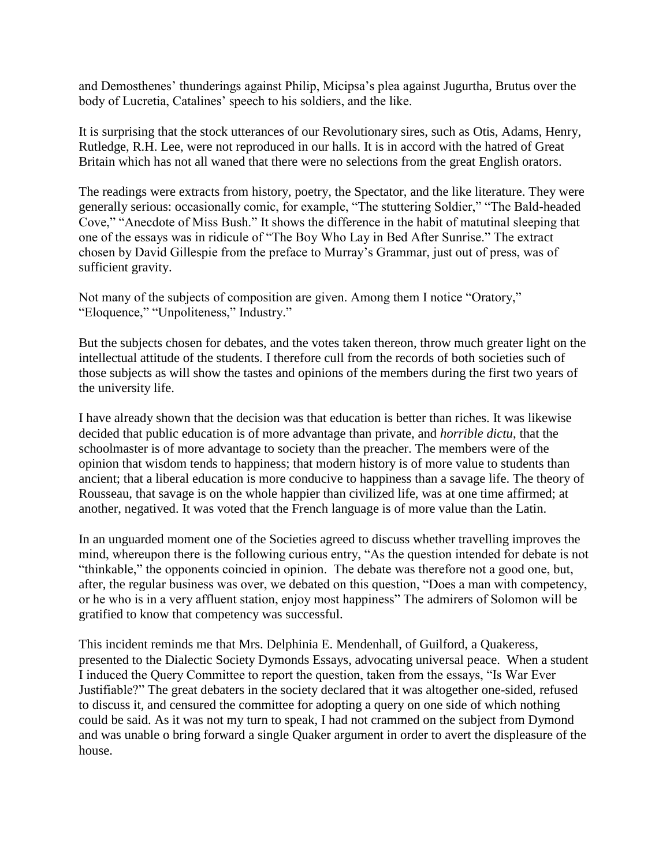and Demosthenes' thunderings against Philip, Micipsa's plea against Jugurtha, Brutus over the body of Lucretia, Catalines' speech to his soldiers, and the like.

It is surprising that the stock utterances of our Revolutionary sires, such as Otis, Adams, Henry, Rutledge, R.H. Lee, were not reproduced in our halls. It is in accord with the hatred of Great Britain which has not all waned that there were no selections from the great English orators.

The readings were extracts from history, poetry, the Spectator, and the like literature. They were generally serious: occasionally comic, for example, "The stuttering Soldier," "The Bald-headed Cove," "Anecdote of Miss Bush." It shows the difference in the habit of matutinal sleeping that one of the essays was in ridicule of "The Boy Who Lay in Bed After Sunrise." The extract chosen by David Gillespie from the preface to Murray's Grammar, just out of press, was of sufficient gravity.

Not many of the subjects of composition are given. Among them I notice "Oratory," "Eloquence," "Unpoliteness," Industry."

But the subjects chosen for debates, and the votes taken thereon, throw much greater light on the intellectual attitude of the students. I therefore cull from the records of both societies such of those subjects as will show the tastes and opinions of the members during the first two years of the university life.

I have already shown that the decision was that education is better than riches. It was likewise decided that public education is of more advantage than private, and *horrible dictu*, that the schoolmaster is of more advantage to society than the preacher. The members were of the opinion that wisdom tends to happiness; that modern history is of more value to students than ancient; that a liberal education is more conducive to happiness than a savage life. The theory of Rousseau, that savage is on the whole happier than civilized life, was at one time affirmed; at another, negatived. It was voted that the French language is of more value than the Latin.

In an unguarded moment one of the Societies agreed to discuss whether travelling improves the mind, whereupon there is the following curious entry, "As the question intended for debate is not "thinkable," the opponents coincied in opinion. The debate was therefore not a good one, but, after, the regular business was over, we debated on this question, "Does a man with competency, or he who is in a very affluent station, enjoy most happiness" The admirers of Solomon will be gratified to know that competency was successful.

This incident reminds me that Mrs. Delphinia E. Mendenhall, of Guilford, a Quakeress, presented to the Dialectic Society Dymonds Essays, advocating universal peace. When a student I induced the Query Committee to report the question, taken from the essays, "Is War Ever Justifiable?" The great debaters in the society declared that it was altogether one-sided, refused to discuss it, and censured the committee for adopting a query on one side of which nothing could be said. As it was not my turn to speak, I had not crammed on the subject from Dymond and was unable o bring forward a single Quaker argument in order to avert the displeasure of the house.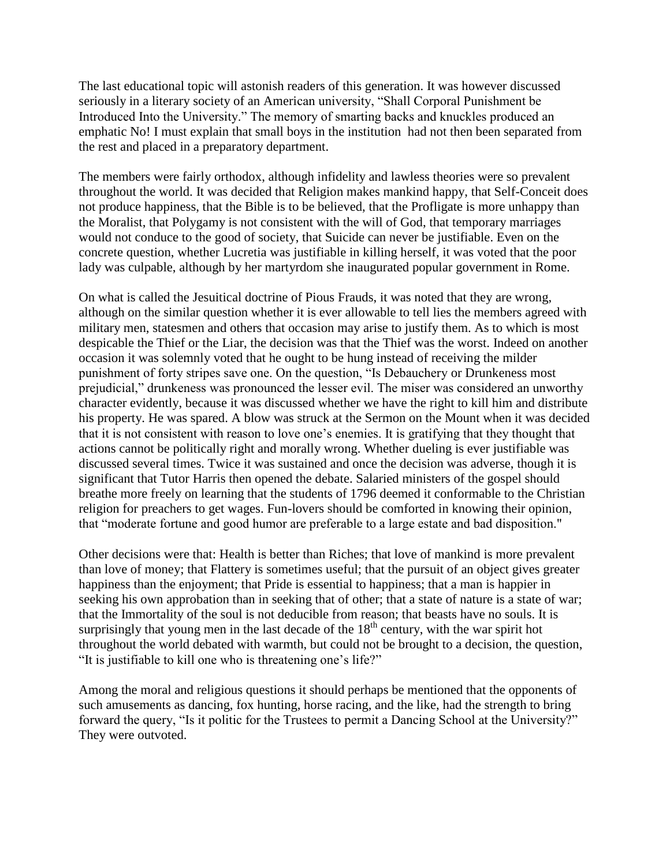The last educational topic will astonish readers of this generation. It was however discussed seriously in a literary society of an American university, "Shall Corporal Punishment be Introduced Into the University." The memory of smarting backs and knuckles produced an emphatic No! I must explain that small boys in the institution had not then been separated from the rest and placed in a preparatory department.

The members were fairly orthodox, although infidelity and lawless theories were so prevalent throughout the world. It was decided that Religion makes mankind happy, that Self-Conceit does not produce happiness, that the Bible is to be believed, that the Profligate is more unhappy than the Moralist, that Polygamy is not consistent with the will of God, that temporary marriages would not conduce to the good of society, that Suicide can never be justifiable. Even on the concrete question, whether Lucretia was justifiable in killing herself, it was voted that the poor lady was culpable, although by her martyrdom she inaugurated popular government in Rome.

On what is called the Jesuitical doctrine of Pious Frauds, it was noted that they are wrong, although on the similar question whether it is ever allowable to tell lies the members agreed with military men, statesmen and others that occasion may arise to justify them. As to which is most despicable the Thief or the Liar, the decision was that the Thief was the worst. Indeed on another occasion it was solemnly voted that he ought to be hung instead of receiving the milder punishment of forty stripes save one. On the question, "Is Debauchery or Drunkeness most prejudicial," drunkeness was pronounced the lesser evil. The miser was considered an unworthy character evidently, because it was discussed whether we have the right to kill him and distribute his property. He was spared. A blow was struck at the Sermon on the Mount when it was decided that it is not consistent with reason to love one's enemies. It is gratifying that they thought that actions cannot be politically right and morally wrong. Whether dueling is ever justifiable was discussed several times. Twice it was sustained and once the decision was adverse, though it is significant that Tutor Harris then opened the debate. Salaried ministers of the gospel should breathe more freely on learning that the students of 1796 deemed it conformable to the Christian religion for preachers to get wages. Fun-lovers should be comforted in knowing their opinion, that "moderate fortune and good humor are preferable to a large estate and bad disposition."

Other decisions were that: Health is better than Riches; that love of mankind is more prevalent than love of money; that Flattery is sometimes useful; that the pursuit of an object gives greater happiness than the enjoyment; that Pride is essential to happiness; that a man is happier in seeking his own approbation than in seeking that of other; that a state of nature is a state of war; that the Immortality of the soul is not deducible from reason; that beasts have no souls. It is surprisingly that young men in the last decade of the  $18<sup>th</sup>$  century, with the war spirit hot throughout the world debated with warmth, but could not be brought to a decision, the question, "It is justifiable to kill one who is threatening one's life?"

Among the moral and religious questions it should perhaps be mentioned that the opponents of such amusements as dancing, fox hunting, horse racing, and the like, had the strength to bring forward the query, "Is it politic for the Trustees to permit a Dancing School at the University?" They were outvoted.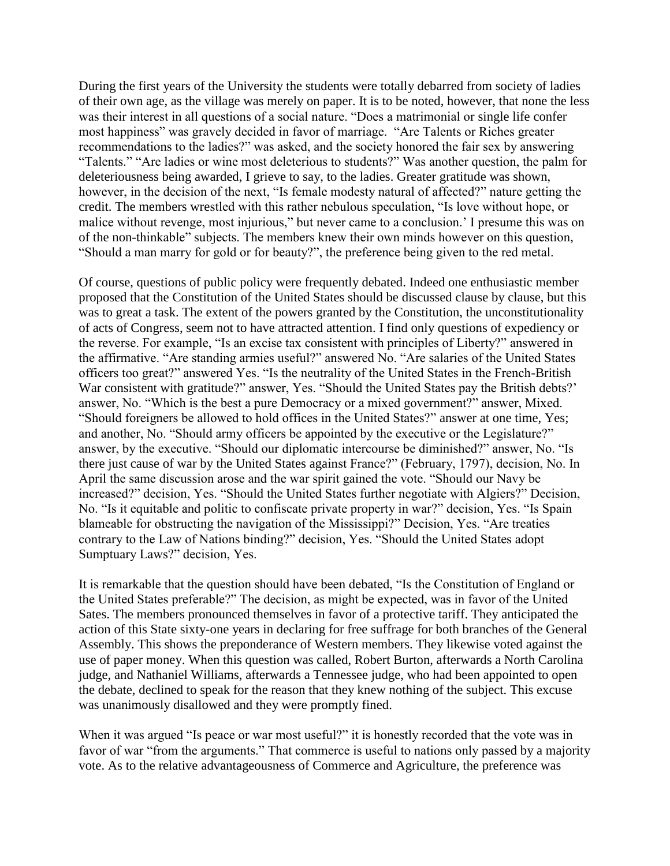During the first years of the University the students were totally debarred from society of ladies of their own age, as the village was merely on paper. It is to be noted, however, that none the less was their interest in all questions of a social nature. "Does a matrimonial or single life confer most happiness" was gravely decided in favor of marriage. "Are Talents or Riches greater recommendations to the ladies?" was asked, and the society honored the fair sex by answering "Talents." "Are ladies or wine most deleterious to students?" Was another question, the palm for deleteriousness being awarded, I grieve to say, to the ladies. Greater gratitude was shown, however, in the decision of the next, "Is female modesty natural of affected?" nature getting the credit. The members wrestled with this rather nebulous speculation, "Is love without hope, or malice without revenge, most injurious," but never came to a conclusion.' I presume this was on of the non-thinkable" subjects. The members knew their own minds however on this question, "Should a man marry for gold or for beauty?", the preference being given to the red metal.

Of course, questions of public policy were frequently debated. Indeed one enthusiastic member proposed that the Constitution of the United States should be discussed clause by clause, but this was to great a task. The extent of the powers granted by the Constitution, the unconstitutionality of acts of Congress, seem not to have attracted attention. I find only questions of expediency or the reverse. For example, "Is an excise tax consistent with principles of Liberty?" answered in the affirmative. "Are standing armies useful?" answered No. "Are salaries of the United States officers too great?" answered Yes. "Is the neutrality of the United States in the French-British War consistent with gratitude?" answer, Yes. "Should the United States pay the British debts?' answer, No. "Which is the best a pure Democracy or a mixed government?" answer, Mixed. "Should foreigners be allowed to hold offices in the United States?" answer at one time, Yes; and another, No. "Should army officers be appointed by the executive or the Legislature?" answer, by the executive. "Should our diplomatic intercourse be diminished?" answer, No. "Is there just cause of war by the United States against France?" (February, 1797), decision, No. In April the same discussion arose and the war spirit gained the vote. "Should our Navy be increased?" decision, Yes. "Should the United States further negotiate with Algiers?" Decision, No. "Is it equitable and politic to confiscate private property in war?" decision, Yes. "Is Spain blameable for obstructing the navigation of the Mississippi?" Decision, Yes. "Are treaties contrary to the Law of Nations binding?" decision, Yes. "Should the United States adopt Sumptuary Laws?" decision, Yes.

It is remarkable that the question should have been debated, "Is the Constitution of England or the United States preferable?" The decision, as might be expected, was in favor of the United Sates. The members pronounced themselves in favor of a protective tariff. They anticipated the action of this State sixty-one years in declaring for free suffrage for both branches of the General Assembly. This shows the preponderance of Western members. They likewise voted against the use of paper money. When this question was called, Robert Burton, afterwards a North Carolina judge, and Nathaniel Williams, afterwards a Tennessee judge, who had been appointed to open the debate, declined to speak for the reason that they knew nothing of the subject. This excuse was unanimously disallowed and they were promptly fined.

When it was argued "Is peace or war most useful?" it is honestly recorded that the vote was in favor of war "from the arguments." That commerce is useful to nations only passed by a majority vote. As to the relative advantageousness of Commerce and Agriculture, the preference was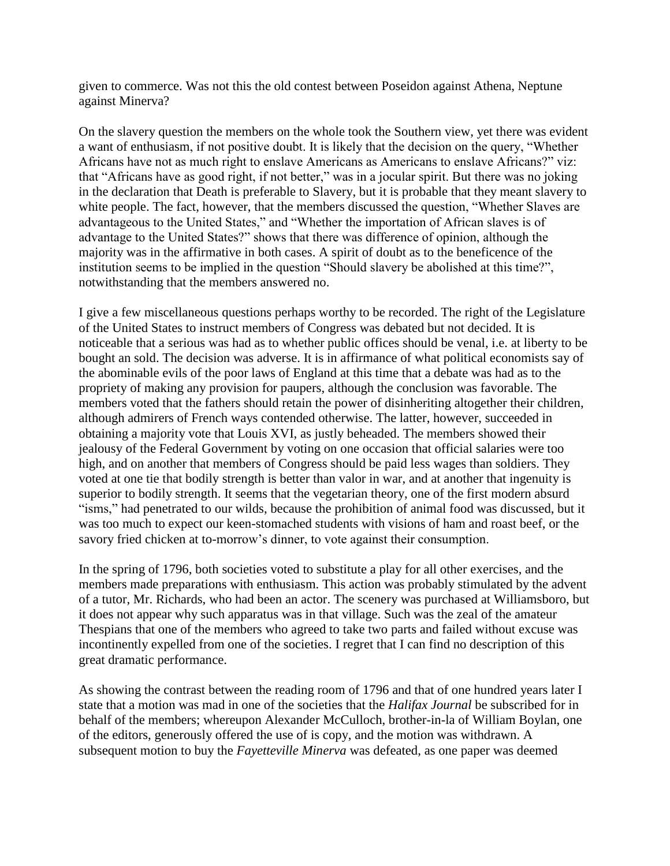given to commerce. Was not this the old contest between Poseidon against Athena, Neptune against Minerva?

On the slavery question the members on the whole took the Southern view, yet there was evident a want of enthusiasm, if not positive doubt. It is likely that the decision on the query, "Whether Africans have not as much right to enslave Americans as Americans to enslave Africans?" viz: that "Africans have as good right, if not better," was in a jocular spirit. But there was no joking in the declaration that Death is preferable to Slavery, but it is probable that they meant slavery to white people. The fact, however, that the members discussed the question, "Whether Slaves are advantageous to the United States," and "Whether the importation of African slaves is of advantage to the United States?" shows that there was difference of opinion, although the majority was in the affirmative in both cases. A spirit of doubt as to the beneficence of the institution seems to be implied in the question "Should slavery be abolished at this time?", notwithstanding that the members answered no.

I give a few miscellaneous questions perhaps worthy to be recorded. The right of the Legislature of the United States to instruct members of Congress was debated but not decided. It is noticeable that a serious was had as to whether public offices should be venal, i.e. at liberty to be bought an sold. The decision was adverse. It is in affirmance of what political economists say of the abominable evils of the poor laws of England at this time that a debate was had as to the propriety of making any provision for paupers, although the conclusion was favorable. The members voted that the fathers should retain the power of disinheriting altogether their children, although admirers of French ways contended otherwise. The latter, however, succeeded in obtaining a majority vote that Louis XVI, as justly beheaded. The members showed their jealousy of the Federal Government by voting on one occasion that official salaries were too high, and on another that members of Congress should be paid less wages than soldiers. They voted at one tie that bodily strength is better than valor in war, and at another that ingenuity is superior to bodily strength. It seems that the vegetarian theory, one of the first modern absurd "isms," had penetrated to our wilds, because the prohibition of animal food was discussed, but it was too much to expect our keen-stomached students with visions of ham and roast beef, or the savory fried chicken at to-morrow's dinner, to vote against their consumption.

In the spring of 1796, both societies voted to substitute a play for all other exercises, and the members made preparations with enthusiasm. This action was probably stimulated by the advent of a tutor, Mr. Richards, who had been an actor. The scenery was purchased at Williamsboro, but it does not appear why such apparatus was in that village. Such was the zeal of the amateur Thespians that one of the members who agreed to take two parts and failed without excuse was incontinently expelled from one of the societies. I regret that I can find no description of this great dramatic performance.

As showing the contrast between the reading room of 1796 and that of one hundred years later I state that a motion was mad in one of the societies that the *Halifax Journal* be subscribed for in behalf of the members; whereupon Alexander McCulloch, brother-in-la of William Boylan, one of the editors, generously offered the use of is copy, and the motion was withdrawn. A subsequent motion to buy the *Fayetteville Minerva* was defeated, as one paper was deemed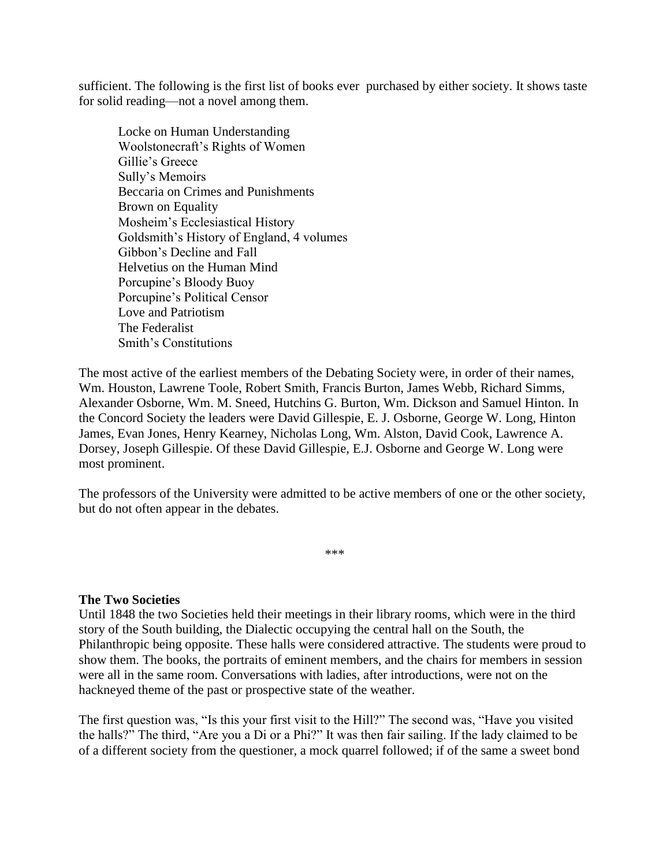sufficient. The following is the first list of books ever purchased by either society. It shows taste for solid reading—not a novel among them.

Locke on Human Understanding Woolstonecraft's Rights of Women Gillie's Greece Sully's Memoirs Beccaria on Crimes and Punishments Brown on Equality Mosheim's Ecclesiastical History Goldsmith's History of England, 4 volumes Gibbon's Decline and Fall Helvetius on the Human Mind Porcupine's Bloody Buoy Porcupine's Political Censor Love and Patriotism The Federalist Smith's Constitutions

The most active of the earliest members of the Debating Society were, in order of their names, Wm. Houston, Lawrene Toole, Robert Smith, Francis Burton, James Webb, Richard Simms, Alexander Osborne, Wm. M. Sneed, Hutchins G. Burton, Wm. Dickson and Samuel Hinton. In the Concord Society the leaders were David Gillespie, E. J. Osborne, George W. Long, Hinton James, Evan Jones, Henry Kearney, Nicholas Long, Wm. Alston, David Cook, Lawrence A. Dorsey, Joseph Gillespie. Of these David Gillespie, E.J. Osborne and George W. Long were most prominent.

The professors of the University were admitted to be active members of one or the other society, but do not often appear in the debates.

\*\*\*

## **The Two Societies**

Until 1848 the two Societies held their meetings in their library rooms, which were in the third story of the South building, the Dialectic occupying the central hall on the South, the Philanthropic being opposite. These halls were considered attractive. The students were proud to show them. The books, the portraits of eminent members, and the chairs for members in session were all in the same room. Conversations with ladies, after introductions, were not on the hackneyed theme of the past or prospective state of the weather.

The first question was, "Is this your first visit to the Hill?" The second was, "Have you visited the halls?" The third, "Are you a Di or a Phi?" It was then fair sailing. If the lady claimed to be of a different society from the questioner, a mock quarrel followed; if of the same a sweet bond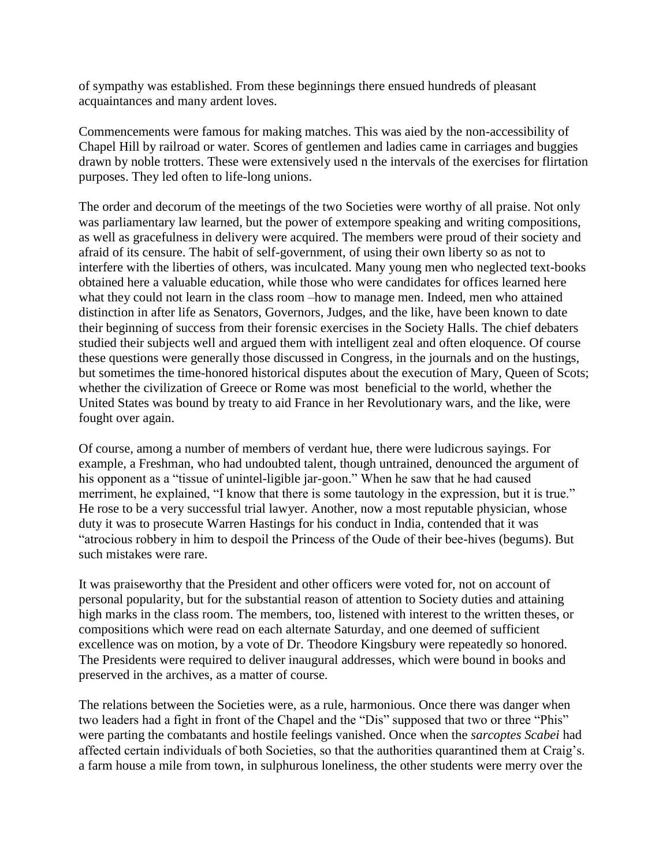of sympathy was established. From these beginnings there ensued hundreds of pleasant acquaintances and many ardent loves.

Commencements were famous for making matches. This was aied by the non-accessibility of Chapel Hill by railroad or water. Scores of gentlemen and ladies came in carriages and buggies drawn by noble trotters. These were extensively used n the intervals of the exercises for flirtation purposes. They led often to life-long unions.

The order and decorum of the meetings of the two Societies were worthy of all praise. Not only was parliamentary law learned, but the power of extempore speaking and writing compositions, as well as gracefulness in delivery were acquired. The members were proud of their society and afraid of its censure. The habit of self-government, of using their own liberty so as not to interfere with the liberties of others, was inculcated. Many young men who neglected text-books obtained here a valuable education, while those who were candidates for offices learned here what they could not learn in the class room –how to manage men. Indeed, men who attained distinction in after life as Senators, Governors, Judges, and the like, have been known to date their beginning of success from their forensic exercises in the Society Halls. The chief debaters studied their subjects well and argued them with intelligent zeal and often eloquence. Of course these questions were generally those discussed in Congress, in the journals and on the hustings, but sometimes the time-honored historical disputes about the execution of Mary, Queen of Scots; whether the civilization of Greece or Rome was most beneficial to the world, whether the United States was bound by treaty to aid France in her Revolutionary wars, and the like, were fought over again.

Of course, among a number of members of verdant hue, there were ludicrous sayings. For example, a Freshman, who had undoubted talent, though untrained, denounced the argument of his opponent as a "tissue of unintel-ligible jar-goon." When he saw that he had caused merriment, he explained, "I know that there is some tautology in the expression, but it is true." He rose to be a very successful trial lawyer. Another, now a most reputable physician, whose duty it was to prosecute Warren Hastings for his conduct in India, contended that it was "atrocious robbery in him to despoil the Princess of the Oude of their bee-hives (begums). But such mistakes were rare.

It was praiseworthy that the President and other officers were voted for, not on account of personal popularity, but for the substantial reason of attention to Society duties and attaining high marks in the class room. The members, too, listened with interest to the written theses, or compositions which were read on each alternate Saturday, and one deemed of sufficient excellence was on motion, by a vote of Dr. Theodore Kingsbury were repeatedly so honored. The Presidents were required to deliver inaugural addresses, which were bound in books and preserved in the archives, as a matter of course.

The relations between the Societies were, as a rule, harmonious. Once there was danger when two leaders had a fight in front of the Chapel and the "Dis" supposed that two or three "Phis" were parting the combatants and hostile feelings vanished. Once when the *sarcoptes Scabei* had affected certain individuals of both Societies, so that the authorities quarantined them at Craig's. a farm house a mile from town, in sulphurous loneliness, the other students were merry over the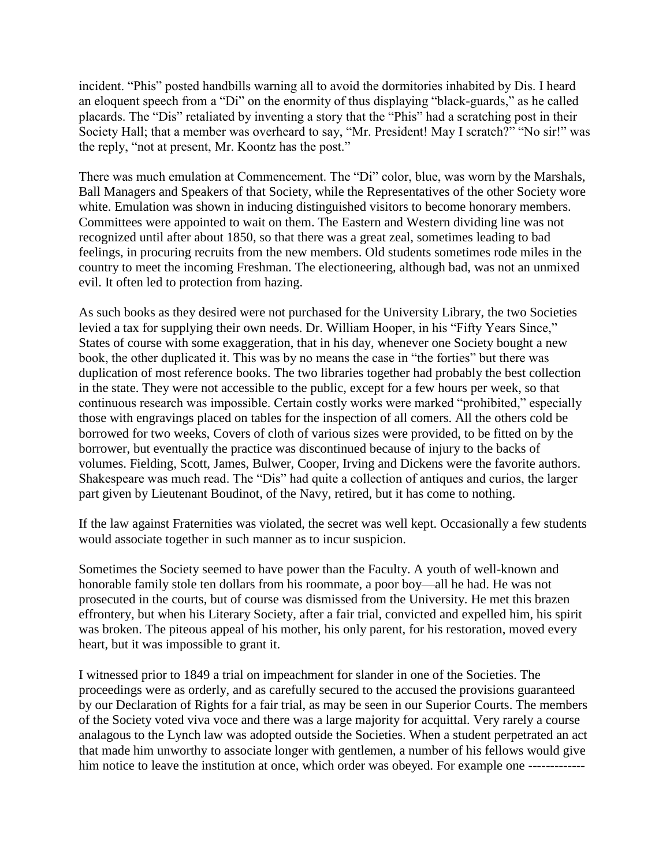incident. "Phis" posted handbills warning all to avoid the dormitories inhabited by Dis. I heard an eloquent speech from a "Di" on the enormity of thus displaying "black-guards," as he called placards. The "Dis" retaliated by inventing a story that the "Phis" had a scratching post in their Society Hall; that a member was overheard to say, "Mr. President! May I scratch?" "No sir!" was the reply, "not at present, Mr. Koontz has the post."

There was much emulation at Commencement. The "Di" color, blue, was worn by the Marshals, Ball Managers and Speakers of that Society, while the Representatives of the other Society wore white. Emulation was shown in inducing distinguished visitors to become honorary members. Committees were appointed to wait on them. The Eastern and Western dividing line was not recognized until after about 1850, so that there was a great zeal, sometimes leading to bad feelings, in procuring recruits from the new members. Old students sometimes rode miles in the country to meet the incoming Freshman. The electioneering, although bad, was not an unmixed evil. It often led to protection from hazing.

As such books as they desired were not purchased for the University Library, the two Societies levied a tax for supplying their own needs. Dr. William Hooper, in his "Fifty Years Since," States of course with some exaggeration, that in his day, whenever one Society bought a new book, the other duplicated it. This was by no means the case in "the forties" but there was duplication of most reference books. The two libraries together had probably the best collection in the state. They were not accessible to the public, except for a few hours per week, so that continuous research was impossible. Certain costly works were marked "prohibited," especially those with engravings placed on tables for the inspection of all comers. All the others cold be borrowed for two weeks, Covers of cloth of various sizes were provided, to be fitted on by the borrower, but eventually the practice was discontinued because of injury to the backs of volumes. Fielding, Scott, James, Bulwer, Cooper, Irving and Dickens were the favorite authors. Shakespeare was much read. The "Dis" had quite a collection of antiques and curios, the larger part given by Lieutenant Boudinot, of the Navy, retired, but it has come to nothing.

If the law against Fraternities was violated, the secret was well kept. Occasionally a few students would associate together in such manner as to incur suspicion.

Sometimes the Society seemed to have power than the Faculty. A youth of well-known and honorable family stole ten dollars from his roommate, a poor boy—all he had. He was not prosecuted in the courts, but of course was dismissed from the University. He met this brazen effrontery, but when his Literary Society, after a fair trial, convicted and expelled him, his spirit was broken. The piteous appeal of his mother, his only parent, for his restoration, moved every heart, but it was impossible to grant it.

I witnessed prior to 1849 a trial on impeachment for slander in one of the Societies. The proceedings were as orderly, and as carefully secured to the accused the provisions guaranteed by our Declaration of Rights for a fair trial, as may be seen in our Superior Courts. The members of the Society voted viva voce and there was a large majority for acquittal. Very rarely a course analagous to the Lynch law was adopted outside the Societies. When a student perpetrated an act that made him unworthy to associate longer with gentlemen, a number of his fellows would give him notice to leave the institution at once, which order was obeyed. For example one -------------